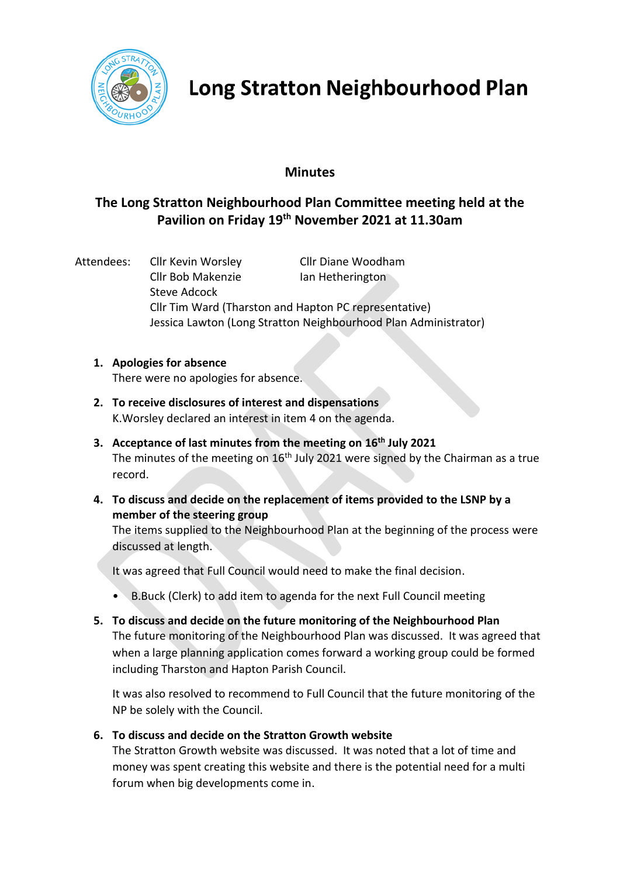

# **Long Stratton Neighbourhood Plan**

### **Minutes**

### **The Long Stratton Neighbourhood Plan Committee meeting held at the Pavilion on Friday 19th November 2021 at 11.30am**

Attendees: Cllr Kevin Worsley Cllr Diane Woodham Cllr Bob Makenzie **Ian Hetherington** Steve Adcock Cllr Tim Ward (Tharston and Hapton PC representative) Jessica Lawton (Long Stratton Neighbourhood Plan Administrator)

## **1. Apologies for absence**

There were no apologies for absence.

- **2. To receive disclosures of interest and dispensations**  K.Worsley declared an interest in item 4 on the agenda.
- **3. Acceptance of last minutes from the meeting on 16th July 2021** The minutes of the meeting on  $16<sup>th</sup>$  July 2021 were signed by the Chairman as a true record.
- **4. To discuss and decide on the replacement of items provided to the LSNP by a member of the steering group**

The items supplied to the Neighbourhood Plan at the beginning of the process were discussed at length.

It was agreed that Full Council would need to make the final decision.

- B.Buck (Clerk) to add item to agenda for the next Full Council meeting
- **5. To discuss and decide on the future monitoring of the Neighbourhood Plan** The future monitoring of the Neighbourhood Plan was discussed. It was agreed that when a large planning application comes forward a working group could be formed including Tharston and Hapton Parish Council.

It was also resolved to recommend to Full Council that the future monitoring of the NP be solely with the Council.

#### **6. To discuss and decide on the Stratton Growth website**

The Stratton Growth website was discussed. It was noted that a lot of time and money was spent creating this website and there is the potential need for a multi forum when big developments come in.